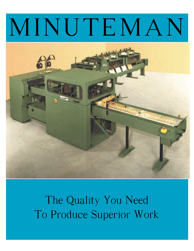# MINUTEMAN



The Quality You Need To Produce Superior Work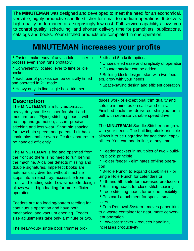The **MINUTEMAN** was designed and developed to meet the need for an economical, versatile, highly productive saddle stitcher for small to medium operations. It delivers high-quality performance at a surprisingly low cost. Full service capability allows you to control quality, scheduling, and shorten delivery time for pamphlets, publications, catalogs and books. Your stitched products are completed in one operation.

#### **MINUTEMAN increases your profits**

| • Fastest makeready of any saddle stitcher to |
|-----------------------------------------------|
| process even short runs profitably            |

- Conveniently located lever to time or idle pockets
- Each pair of pockets can be centrally timed and operated in 2:1 mode
- Heavy-duty, in-line single book trimmer
- **Description**

The **MINUTEMAN** is a fully automatic, heavy-duty saddle stitcher for short and medium runs. 'Flying stitching heads, with no stop-and-go motion, assure precise stitching and less wear. Short pin spacing for low chain speed, and patented tilt-back chain pins enable even difficult signatures to be handled efficiently.

The **MINUTEMAN** is fed and operated from the front so there is no need to run behind the machine. A caliper detects missing and double signatures. Imperfect books are automatically diverted without machine stops into a reject tray, accessible from the front and loading side. Low-silhouette design allows waist-high loading for more efficient operation.

Feeders are top loading/bottom feeding for continuous operation and have both mechanical and vacuum opening. Feeder size adjustments take only a minute or two.

The heavy-duty single book trimmer pro-

- 4th and 5th knife optional
- Unparalleled ease and simplicity of operation
- Counter stacker can be added
- Building block design start with two feeders, grow with your needs
- Space-saving design and efficient operation

duces work of exceptional trim quality and sets up in minutes on calibrated dials. Finished books are delivered, shingled, on a belt with separate variable speed drive.

The **MINUTEMAN** Saddle Stitcher can grow with your needs. The building block principle allows it to be upgraded for additional capabilities. You can add in-line, at any time:

• Feeder pockets in multiples of two - building block' principle

• Folder feeder - eliminates off-line operation

• 3-Hole Punch to expand capabilities - or Single Hole Punch for calendars or

- 4th and 5th knife for increased production
- Stitching heads for close stitch spacing
- Loop stitching heads for unique flexibility
- Postcard attachment for special small sizes

• Trim Removal System - moves paper trim to a waste container for neat, more convenient operation

• Low-cost stacker - reduces handling, increases productivity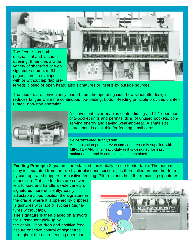

The feeder has both mechanical and vacuum opening. It handles a wide variety of sheet-fed or web signatures from 4 to 64 pages, cards, envelopes, with or without lap (lap pre-



ferred), closed or open head; also signatures or inserts by outside sources.

The feeders are conveniently loaded from the operating side. Low silhouette design reduces fatigue while the continuous top-loading, bottom-feeding principle provides uninterrupted, non-stop operation.



A convenient lever enables central timing and 2:1 operation of 2-pocket units and permits idling of unused pockets, conserving energy and saving wear-and-tear. A small size attachment is available for feeding small cards

#### **Self-Contained Air System**

A combination pressure/vacuum compressor is supplied with the MINUTEMAN. This heavy-duty unit is designed for easy maintenance and is completely self-contained.

**Feeding Principle** Signatures are stacked horizontally on the feeder table. The bottom copy is separated from the pile by air blast and suction. It is then pulled around the drum by cam operated grippers for positive feeding. Pile retainers hold the remaining signatures

in position. Flat pile feeders are convenient to load and handle a wide variety of signatures more efficiently. Easily adjustable stops position the signature in the cradle where it is opened by grippers (signatures with lap) or suckers (signatures without lap).

The signature is then placed on a sword for subsequent pick-up by the chain. Short drop and positive feed assure effective control of signatures throughout the entire feeding operation.

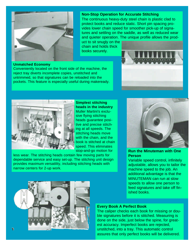

#### **Non-Stop Operation for Accurate Stitching**

The continuous heavy-duty steel chain is plastic clad to protect books and reduce static. Short pin spacing provides lower chain speed for smoother pick-up of signatures and settling on the saddle, as well as reduced wear and quieter operation. The unique profile allows the prod-

uct to sit snugly on the chain and holds thick books securely.



#### **Unmatched Economy**

Conveniently located on the front side of the machine, the reject tray diverts incomplete copies, unstitched and untrimmed, so that signatures can be reloaded into the pockets. This feature is especially useful during makeready.



**Simplest stitching heads in the industry** Muller Martini's exclusive flying stitching heads guarantee positive and precise stitching at all speeds. The stitching heads move with the chain, and the book is stitched at chain speed. This eliminates stop-and-go motion for

less wear. The stitching heads contain few moving parts for dependable service and easy set-up. The stitching unit design provides maximum versatility, including stitching heads with narrow centers for 2-up work.



**Run the Minuteman with One Person**

Variable speed control, infinitely adjustable, allows you to tailor the machine speed to the job. An additional advantage is that the MINUTEMAN can run at slow speeds to allow one person to feed signatures and take off finished books.



#### **Every Book A Perfect Book**

The caliper checks each book for missing or double signatures before it is stitched. Measuring is done on the side, just below the spine, for greatest accuracy. Imperfect books are rejected, unstitched, into a tray. This automatic control assures that only perfect books will be delivered.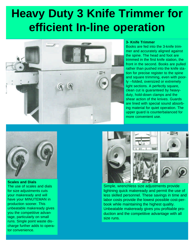### **Heavy Duty 3 Knife Trimmer for efficient In-line operation**



#### **3- Knife Trimmer**

Books are fed into the 3-knife trimmer and accurately aligned against the spine. The head and foot are trimmed in the first knife station, the front in the second. Books are pulled rather than pushed into the knife station for precise register to the spine and square trimming, even with poorly --folded, oversized or extremely light sections. A perfectly square, clean cut is guaranteed by heavyduty, hold-down clamps and the shear action of the knives. Guards are lined with special sound absorbing material for quiet operation. The upper guard is counterbalanced for more convenient use.



**Scales and Dials** The use of scales and dials for size adjustments cuts your makeready and will have your MINUTEMAN in production sooner. This unbeatable makeready gives you the competitive advantage, particularly on small runs. Single point waste discharge further adds to operator convenience.



Simple, wrenchless size adjustments provide lightning quick makeready and permit the use of less skilled personnel. These savings in time and labor costs provide the lowest possible cost-perbook while maintaining the highest quality. Unbeatable makeready gives you profitable production and the competitive advantage with all size runs.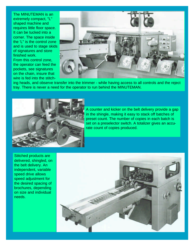The MINUTEMAN is an extremely compact, "L" shaped machine and requires little floor space. It can be tucked into a corner. The space inside the 'L" is the control zone and is used to stage skids of signatures and store finished work. From this control zone,

the operator can feed the pockets, see signatures on the chain, insure that wire is fed into the stitch-



ing heads, and observe transfer into the trimmer - while having access to all controls and the reject tray. There is never a need for the operator to run behind the MINUTEMAN.



A counter and kicker on the belt delivery provide a gap in the shingle, making it easy to stack off batches of preset count. The number of copies in each batch is set on a preselector switch. A totalizer gives an accurate count of copies produced.

Stitched products are delivered, shingled, on the belt delivery. An independent, variable speed drive allows speed adjustment for the desired spacing of brochures, depending on size and individual needs.